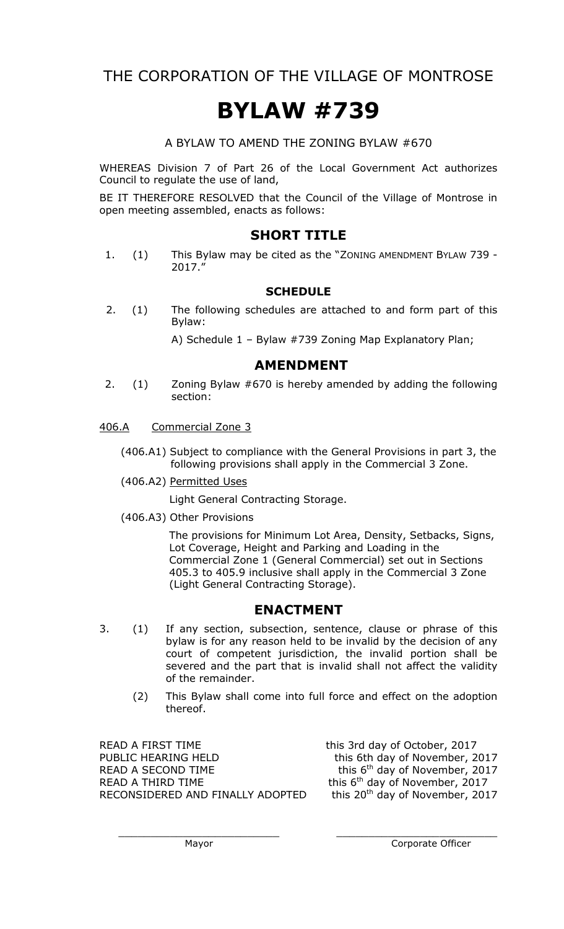THE CORPORATION OF THE VILLAGE OF MONTROSE

# **BYLAW #739**

A BYLAW TO AMEND THE ZONING BYLAW #670

WHEREAS Division 7 of Part 26 of the Local Government Act authorizes Council to regulate the use of land,

BE IT THEREFORE RESOLVED that the Council of the Village of Montrose in open meeting assembled, enacts as follows:

## **SHORT TITLE**

1. (1) This Bylaw may be cited as the "ZONING AMENDMENT BYLAW 739 - 2017."

#### **SCHEDULE**

2. (1) The following schedules are attached to and form part of this Bylaw:

A) Schedule 1 – Bylaw #739 Zoning Map Explanatory Plan;

## **AMENDMENT**

- 2. (1) Zoning Bylaw #670 is hereby amended by adding the following section:
- 406.A Commercial Zone 3
	- (406.A1) Subject to compliance with the General Provisions in part 3, the following provisions shall apply in the Commercial 3 Zone.
	- (406.A2) Permitted Uses

Light General Contracting Storage.

(406.A3) Other Provisions

The provisions for Minimum Lot Area, Density, Setbacks, Signs, Lot Coverage, Height and Parking and Loading in the Commercial Zone 1 (General Commercial) set out in Sections 405.3 to 405.9 inclusive shall apply in the Commercial 3 Zone (Light General Contracting Storage).

## **ENACTMENT**

- 3. (1) If any section, subsection, sentence, clause or phrase of this bylaw is for any reason held to be invalid by the decision of any court of competent jurisdiction, the invalid portion shall be severed and the part that is invalid shall not affect the validity of the remainder.
	- (2) This Bylaw shall come into full force and effect on the adoption thereof.

 $\overline{\phantom{a}}$  , and the contribution of the contribution of  $\overline{\phantom{a}}$  , and the contribution of  $\overline{\phantom{a}}$ 

READ A FIRST TIME this 3rd day of October, 2017 PUBLIC HEARING HELD this 6th day of November, 2017 READ A SECOND TIME READ A THIRD TIME  $\frac{1}{2}$  this 6<sup>th</sup> day of November, 2017<br>RECONSIDERED AND FINALLY ADOPTED this 20<sup>th</sup> day of November, 2017 RECONSIDERED AND FINALLY ADOPTED

this 6<sup>th</sup> day of November, 2017 this  $6<sup>th</sup>$  day of November, 2017

Mayor **Mayor** Corporate Officer